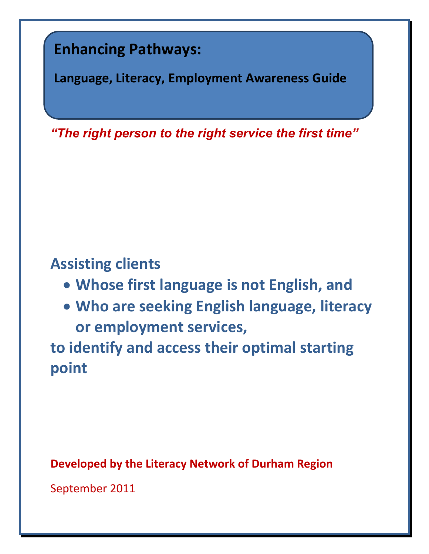## **Enhancing Pathways:**

**Language, Literacy, Employment Awareness Guide**

*"The right person to the right service the first time"*

### **Assisting clients**

- **Whose first language is not English, and**
- **Who are seeking English language, literacy or employment services,**

**to identify and access their optimal starting point** 

**Developed by the Literacy Network of Durham Region** 

September 2011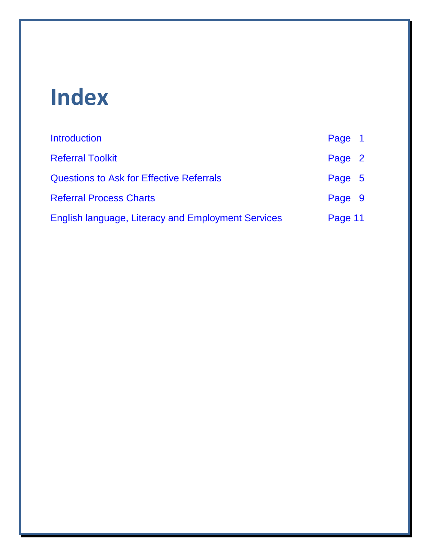## **Index**

| <b>Introduction</b>                                       | Page 1  |  |
|-----------------------------------------------------------|---------|--|
| <b>Referral Toolkit</b>                                   | Page 2  |  |
| <b>Questions to Ask for Effective Referrals</b>           | Page 5  |  |
| <b>Referral Process Charts</b>                            | Page 9  |  |
| <b>English language, Literacy and Employment Services</b> | Page 11 |  |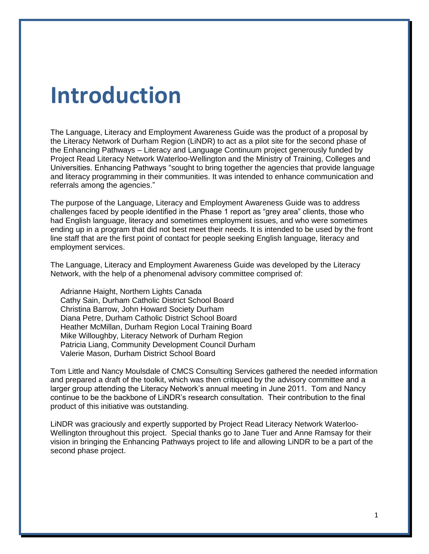## <span id="page-2-0"></span>**Introduction**

The Language, Literacy and Employment Awareness Guide was the product of a proposal by the Literacy Network of Durham Region (LiNDR) to act as a pilot site for the second phase of the Enhancing Pathways – Literacy and Language Continuum project generously funded by Project Read Literacy Network Waterloo-Wellington and the Ministry of Training, Colleges and Universities. Enhancing Pathways "sought to bring together the agencies that provide language and literacy programming in their communities. It was intended to enhance communication and referrals among the agencies."

The purpose of the Language, Literacy and Employment Awareness Guide was to address challenges faced by people identified in the Phase 1 report as "grey area" clients, those who had English language, literacy and sometimes employment issues, and who were sometimes ending up in a program that did not best meet their needs. It is intended to be used by the front line staff that are the first point of contact for people seeking English language, literacy and employment services.

The Language, Literacy and Employment Awareness Guide was developed by the Literacy Network, with the help of a phenomenal advisory committee comprised of:

Adrianne Haight, Northern Lights Canada Cathy Sain, Durham Catholic District School Board Christina Barrow, John Howard Society Durham Diana Petre, Durham Catholic District School Board Heather McMillan, Durham Region Local Training Board Mike Willoughby, Literacy Network of Durham Region Patricia Liang, Community Development Council Durham Valerie Mason, Durham District School Board

Tom Little and Nancy Moulsdale of CMCS Consulting Services gathered the needed information and prepared a draft of the toolkit, which was then critiqued by the advisory committee and a larger group attending the Literacy Network's annual meeting in June 2011. Tom and Nancy continue to be the backbone of LiNDR's research consultation. Their contribution to the final product of this initiative was outstanding.

LiNDR was graciously and expertly supported by Project Read Literacy Network Waterloo-Wellington throughout this project. Special thanks go to Jane Tuer and Anne Ramsay for their vision in bringing the Enhancing Pathways project to life and allowing LiNDR to be a part of the second phase project.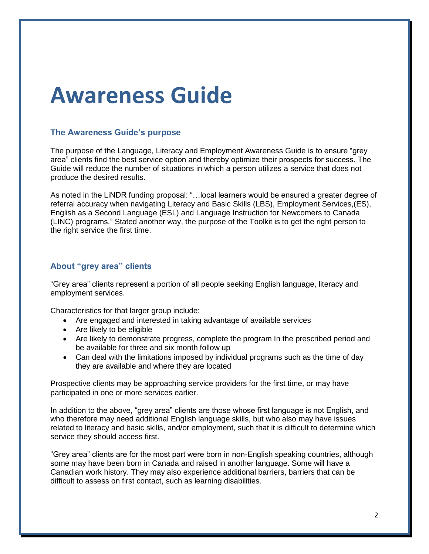## <span id="page-3-0"></span>**Awareness Guide**

#### **The Awareness Guide's purpose**

The purpose of the Language, Literacy and Employment Awareness Guide is to ensure "grey area" clients find the best service option and thereby optimize their prospects for success. The Guide will reduce the number of situations in which a person utilizes a service that does not produce the desired results.

As noted in the LiNDR funding proposal: "…local learners would be ensured a greater degree of referral accuracy when navigating Literacy and Basic Skills (LBS), Employment Services,(ES), English as a Second Language (ESL) and Language Instruction for Newcomers to Canada (LINC) programs." Stated another way, the purpose of the Toolkit is to get the right person to the right service the first time.

#### **About "grey area" clients**

"Grey area" clients represent a portion of all people seeking English language, literacy and employment services.

Characteristics for that larger group include:

- Are engaged and interested in taking advantage of available services
- Are likely to be eligible
- Are likely to demonstrate progress, complete the program In the prescribed period and be available for three and six month follow up
- Can deal with the limitations imposed by individual programs such as the time of day they are available and where they are located

Prospective clients may be approaching service providers for the first time, or may have participated in one or more services earlier.

In addition to the above, "grey area" clients are those whose first language is not English, and who therefore may need additional English language skills, but who also may have issues related to literacy and basic skills, and/or employment, such that it is difficult to determine which service they should access first.

"Grey area" clients are for the most part were born in non-English speaking countries, although some may have been born in Canada and raised in another language. Some will have a Canadian work history. They may also experience additional barriers, barriers that can be difficult to assess on first contact, such as learning disabilities.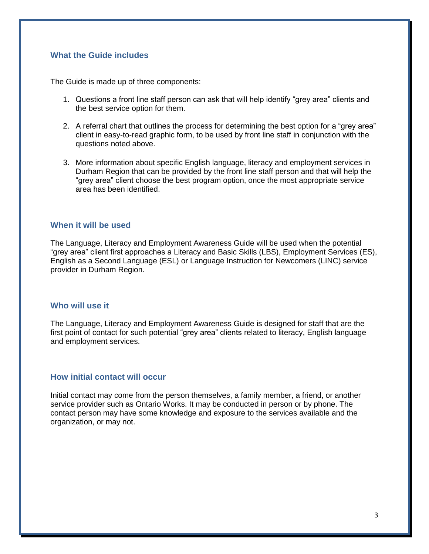#### **What the Guide includes**

The Guide is made up of three components:

- 1. Questions a front line staff person can ask that will help identify "grey area" clients and the best service option for them.
- 2. A referral chart that outlines the process for determining the best option for a "grey area" client in easy-to-read graphic form, to be used by front line staff in conjunction with the questions noted above.
- 3. More information about specific English language, literacy and employment services in Durham Region that can be provided by the front line staff person and that will help the "grey area" client choose the best program option, once the most appropriate service area has been identified.

#### **When it will be used**

The Language, Literacy and Employment Awareness Guide will be used when the potential "grey area" client first approaches a Literacy and Basic Skills (LBS), Employment Services (ES), English as a Second Language (ESL) or Language Instruction for Newcomers (LINC) service provider in Durham Region.

#### **Who will use it**

The Language, Literacy and Employment Awareness Guide is designed for staff that are the first point of contact for such potential "grey area" clients related to literacy, English language and employment services.

#### **How initial contact will occur**

Initial contact may come from the person themselves, a family member, a friend, or another service provider such as Ontario Works. It may be conducted in person or by phone. The contact person may have some knowledge and exposure to the services available and the organization, or may not.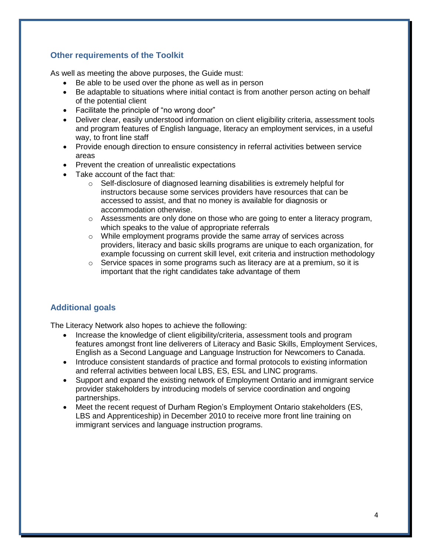#### **Other requirements of the Toolkit**

As well as meeting the above purposes, the Guide must:

- Be able to be used over the phone as well as in person
- Be adaptable to situations where initial contact is from another person acting on behalf of the potential client
- Facilitate the principle of "no wrong door"
- Deliver clear, easily understood information on client eligibility criteria, assessment tools and program features of English language, literacy an employment services, in a useful way, to front line staff
- Provide enough direction to ensure consistency in referral activities between service areas
- Prevent the creation of unrealistic expectations
- Take account of the fact that:
	- o Self-disclosure of diagnosed learning disabilities is extremely helpful for instructors because some services providers have resources that can be accessed to assist, and that no money is available for diagnosis or accommodation otherwise.
	- $\circ$  Assessments are only done on those who are going to enter a literacy program, which speaks to the value of appropriate referrals
	- o While employment programs provide the same array of services across providers, literacy and basic skills programs are unique to each organization, for example focussing on current skill level, exit criteria and instruction methodology
	- $\circ$  Service spaces in some programs such as literacy are at a premium, so it is important that the right candidates take advantage of them

#### **Additional goals**

The Literacy Network also hopes to achieve the following:

- Increase the knowledge of client eligibility/criteria, assessment tools and program features amongst front line deliverers of Literacy and Basic Skills, Employment Services, English as a Second Language and Language Instruction for Newcomers to Canada.
- Introduce consistent standards of practice and formal protocols to existing information and referral activities between local LBS, ES, ESL and LINC programs.
- Support and expand the existing network of Employment Ontario and immigrant service provider stakeholders by introducing models of service coordination and ongoing partnerships.
- Meet the recent request of Durham Region's Employment Ontario stakeholders (ES, LBS and Apprenticeship) in December 2010 to receive more front line training on immigrant services and language instruction programs.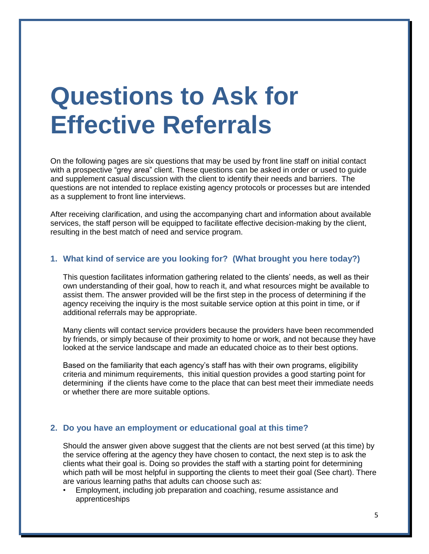# <span id="page-6-0"></span>**Questions to Ask for Effective Referrals**

On the following pages are six questions that may be used by front line staff on initial contact with a prospective "grey area" client. These questions can be asked in order or used to guide and supplement casual discussion with the client to identify their needs and barriers. The questions are not intended to replace existing agency protocols or processes but are intended as a supplement to front line interviews.

After receiving clarification, and using the accompanying chart and information about available services, the staff person will be equipped to facilitate effective decision-making by the client, resulting in the best match of need and service program.

#### **1. What kind of service are you looking for? (What brought you here today?)**

This question facilitates information gathering related to the clients' needs, as well as their own understanding of their goal, how to reach it, and what resources might be available to assist them. The answer provided will be the first step in the process of determining if the agency receiving the inquiry is the most suitable service option at this point in time, or if additional referrals may be appropriate.

Many clients will contact service providers because the providers have been recommended by friends, or simply because of their proximity to home or work, and not because they have looked at the service landscape and made an educated choice as to their best options.

Based on the familiarity that each agency's staff has with their own programs, eligibility criteria and minimum requirements, this initial question provides a good starting point for determining if the clients have come to the place that can best meet their immediate needs or whether there are more suitable options.

#### **2. Do you have an employment or educational goal at this time?**

Should the answer given above suggest that the clients are not best served (at this time) by the service offering at the agency they have chosen to contact, the next step is to ask the clients what their goal is. Doing so provides the staff with a starting point for determining which path will be most helpful in supporting the clients to meet their goal (See chart). There are various learning paths that adults can choose such as:

• Employment, including job preparation and coaching, resume assistance and apprenticeships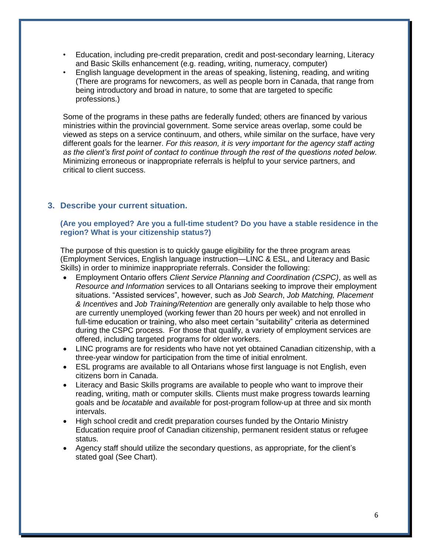- Education, including pre-credit preparation, credit and post-secondary learning, Literacy and Basic Skills enhancement (e.g. reading, writing, numeracy, computer)
- English language development in the areas of speaking, listening, reading, and writing (There are programs for newcomers, as well as people born in Canada, that range from being introductory and broad in nature, to some that are targeted to specific professions.)

Some of the programs in these paths are federally funded; others are financed by various ministries within the provincial government. Some service areas overlap, some could be viewed as steps on a service continuum, and others, while similar on the surface, have very different goals for the learner. *For this reason, it is very important for the agency staff acting as the client's first point of contact to continue through the rest of the questions noted below.* Minimizing erroneous or inappropriate referrals is helpful to your service partners, and critical to client success.

#### **3. Describe your current situation.**

#### **(Are you employed? Are you a full-time student? Do you have a stable residence in the region? What is your citizenship status?)**

The purpose of this question is to quickly gauge eligibility for the three program areas (Employment Services, English language instruction—LINC & ESL, and Literacy and Basic Skills) in order to minimize inappropriate referrals. Consider the following:

- Employment Ontario offers *Client Service Planning and Coordination (CSPC)*, as well as *Resource and Information* services to all Ontarians seeking to improve their employment situations. "Assisted services", however, such as *Job Search*, *Job Matching, Placement & Incentives* and *Job Training/Retention* are generally only available to help those who are currently unemployed (working fewer than 20 hours per week) and not enrolled in full-time education or training, who also meet certain "suitability" criteria as determined during the CSPC process. For those that qualify, a variety of employment services are offered, including targeted programs for older workers.
- LINC programs are for residents who have not yet obtained Canadian citizenship, with a three-year window for participation from the time of initial enrolment.
- ESL programs are available to all Ontarians whose first language is not English, even citizens born in Canada.
- Literacy and Basic Skills programs are available to people who want to improve their reading, writing, math or computer skills. Clients must make progress towards learning goals and be *locatable* and *available* for post-program follow-up at three and six month intervals.
- High school credit and credit preparation courses funded by the Ontario Ministry Education require proof of Canadian citizenship, permanent resident status or refugee status.
- Agency staff should utilize the secondary questions, as appropriate, for the client's stated goal (See Chart).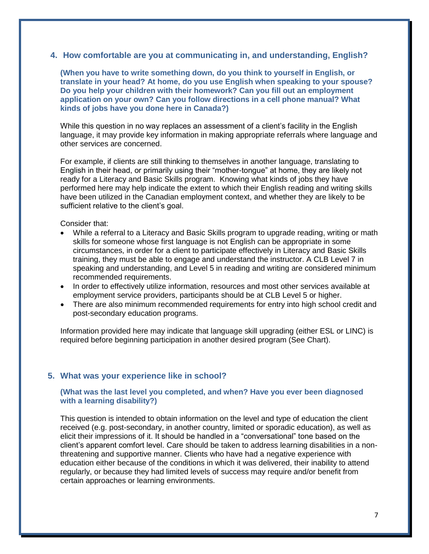#### **4. How comfortable are you at communicating in, and understanding, English?**

**(When you have to write something down, do you think to yourself in English, or translate in your head? At home, do you use English when speaking to your spouse? Do you help your children with their homework? Can you fill out an employment application on your own? Can you follow directions in a cell phone manual? What kinds of jobs have you done here in Canada?)** 

While this question in no way replaces an assessment of a client's facility in the English language, it may provide key information in making appropriate referrals where language and other services are concerned.

For example, if clients are still thinking to themselves in another language, translating to English in their head, or primarily using their "mother-tongue" at home, they are likely not ready for a Literacy and Basic Skills program. Knowing what kinds of jobs they have performed here may help indicate the extent to which their English reading and writing skills have been utilized in the Canadian employment context, and whether they are likely to be sufficient relative to the client's goal.

Consider that:

- While a referral to a Literacy and Basic Skills program to upgrade reading, writing or math skills for someone whose first language is not English can be appropriate in some circumstances, in order for a client to participate effectively in Literacy and Basic Skills training, they must be able to engage and understand the instructor. A CLB Level 7 in speaking and understanding, and Level 5 in reading and writing are considered minimum recommended requirements.
- In order to effectively utilize information, resources and most other services available at employment service providers, participants should be at CLB Level 5 or higher.
- There are also minimum recommended requirements for entry into high school credit and post-secondary education programs.

Information provided here may indicate that language skill upgrading (either ESL or LINC) is required before beginning participation in another desired program (See Chart).

#### **5. What was your experience like in school?**

#### **(What was the last level you completed, and when? Have you ever been diagnosed with a learning disability?)**

This question is intended to obtain information on the level and type of education the client received (e.g. post-secondary, in another country, limited or sporadic education), as well as elicit their impressions of it. It should be handled in a "conversational" tone based on the client's apparent comfort level. Care should be taken to address learning disabilities in a nonthreatening and supportive manner. Clients who have had a negative experience with education either because of the conditions in which it was delivered, their inability to attend regularly, or because they had limited levels of success may require and/or benefit from certain approaches or learning environments.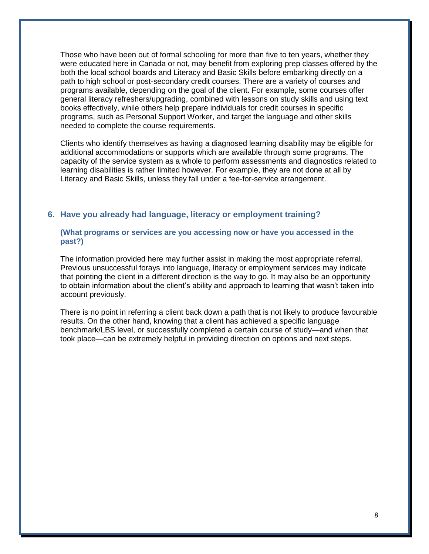Those who have been out of formal schooling for more than five to ten years, whether they were educated here in Canada or not, may benefit from exploring prep classes offered by the both the local school boards and Literacy and Basic Skills before embarking directly on a path to high school or post-secondary credit courses. There are a variety of courses and programs available, depending on the goal of the client. For example, some courses offer general literacy refreshers/upgrading, combined with lessons on study skills and using text books effectively, while others help prepare individuals for credit courses in specific programs, such as Personal Support Worker, and target the language and other skills needed to complete the course requirements.

Clients who identify themselves as having a diagnosed learning disability may be eligible for additional accommodations or supports which are available through some programs. The capacity of the service system as a whole to perform assessments and diagnostics related to learning disabilities is rather limited however. For example, they are not done at all by Literacy and Basic Skills, unless they fall under a fee-for-service arrangement.

#### **6. Have you already had language, literacy or employment training?**

#### **(What programs or services are you accessing now or have you accessed in the past?)**

The information provided here may further assist in making the most appropriate referral. Previous unsuccessful forays into language, literacy or employment services may indicate that pointing the client in a different direction is the way to go. It may also be an opportunity to obtain information about the client's ability and approach to learning that wasn't taken into account previously.

There is no point in referring a client back down a path that is not likely to produce favourable results. On the other hand, knowing that a client has achieved a specific language benchmark/LBS level, or successfully completed a certain course of study—and when that took place—can be extremely helpful in providing direction on options and next steps.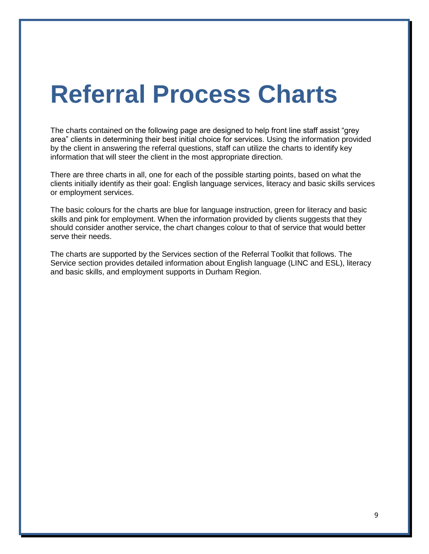## <span id="page-10-0"></span>**Referral Process Charts**

The charts contained on the following page are designed to help front line staff assist "grey area" clients in determining their best initial choice for services. Using the information provided by the client in answering the referral questions, staff can utilize the charts to identify key information that will steer the client in the most appropriate direction.

There are three charts in all, one for each of the possible starting points, based on what the clients initially identify as their goal: English language services, literacy and basic skills services or employment services.

The basic colours for the charts are blue for language instruction, green for literacy and basic skills and pink for employment. When the information provided by clients suggests that they should consider another service, the chart changes colour to that of service that would better serve their needs.

The charts are supported by the Services section of the Referral Toolkit that follows. The Service section provides detailed information about English language (LINC and ESL), literacy and basic skills, and employment supports in Durham Region.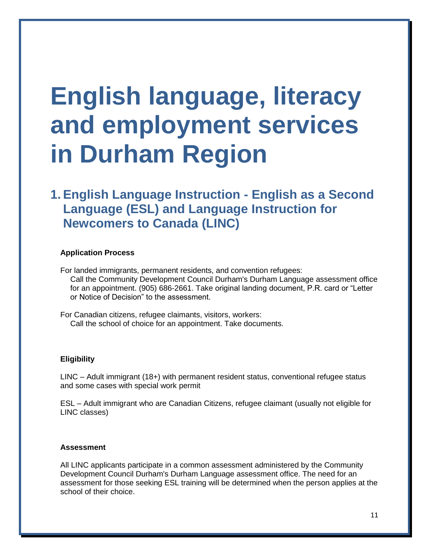# <span id="page-11-0"></span>**English language, literacy and employment services in Durham Region**

### **1. English Language Instruction - English as a Second Language (ESL) and Language Instruction for Newcomers to Canada (LINC)**

#### **Application Process**

For landed immigrants, permanent residents, and convention refugees: Call the Community Development Council Durham's Durham Language assessment office for an appointment. (905) 686-2661. Take original landing document, P.R. card or "Letter or Notice of Decision" to the assessment.

For Canadian citizens, refugee claimants, visitors, workers: Call the school of choice for an appointment. Take documents.

#### **Eligibility**

LINC – Adult immigrant (18+) with permanent resident status, conventional refugee status and some cases with special work permit

ESL – Adult immigrant who are Canadian Citizens, refugee claimant (usually not eligible for LINC classes)

#### **Assessment**

All LINC applicants participate in a common assessment administered by the Community Development Council Durham's Durham Language assessment office. The need for an assessment for those seeking ESL training will be determined when the person applies at the school of their choice.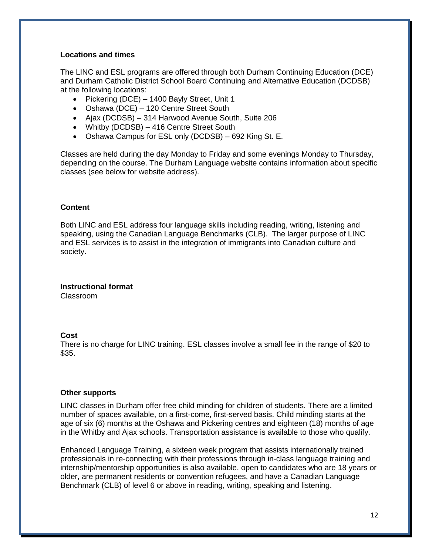#### **Locations and times**

The LINC and ESL programs are offered through both Durham Continuing Education (DCE) and Durham Catholic District School Board Continuing and Alternative Education (DCDSB) at the following locations:

- Pickering (DCE) 1400 Bayly Street, Unit 1
- Oshawa (DCE) 120 Centre Street South
- Ajax (DCDSB) 314 Harwood Avenue South, Suite 206
- Whitby (DCDSB) 416 Centre Street South
- Oshawa Campus for ESL only (DCDSB) 692 King St. E.

Classes are held during the day Monday to Friday and some evenings Monday to Thursday, depending on the course. The Durham Language website contains information about specific classes (see below for website address).

#### **Content**

Both LINC and ESL address four language skills including reading, writing, listening and speaking, using the Canadian Language Benchmarks (CLB). The larger purpose of LINC and ESL services is to assist in the integration of immigrants into Canadian culture and society.

**Instructional format**  Classroom

#### **Cost**

There is no charge for LINC training. ESL classes involve a small fee in the range of \$20 to \$35.

#### **Other supports**

LINC classes in Durham offer free child minding for children of students. There are a limited number of spaces available, on a first-come, first-served basis. Child minding starts at the age of six (6) months at the Oshawa and Pickering centres and eighteen (18) months of age in the Whitby and Ajax schools. Transportation assistance is available to those who qualify.

Enhanced Language Training, a sixteen week program that assists internationally trained professionals in re-connecting with their professions through in-class language training and internship/mentorship opportunities is also available, open to candidates who are 18 years or older, are permanent residents or convention refugees, and have a Canadian Language Benchmark (CLB) of level 6 or above in reading, writing, speaking and listening.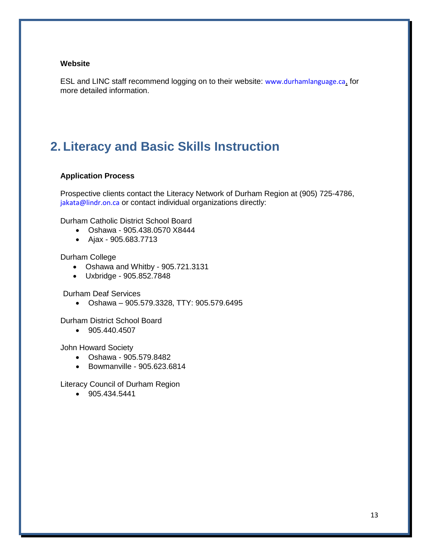#### **Website**

ESL and LINC staff recommend logging on to their website: [www.durhamlanguage.ca](http://www.durhamlanguage.ca), for more detailed information.

### **2. Literacy and Basic Skills Instruction**

#### **Application Process**

Prospective clients contact the Literacy Network of Durham Region at (905) 725-4786, [jakata@lindr.on.ca](mailto:jakata@lindr.on.ca) or contact individual organizations directly:

Durham Catholic District School Board

- Oshawa 905.438.0570 X8444
- Ajax 905.683.7713

Durham College

- Oshawa and Whitby 905.721.3131
- Uxbridge 905.852.7848

Durham Deaf Services

Oshawa – 905.579.3328, TTY: 905.579.6495

Durham District School Board

• 905.440.4507

John Howard Society

- Oshawa 905.579.8482
- Bowmanville 905.623.6814

Literacy Council of Durham Region

 $905.434.5441$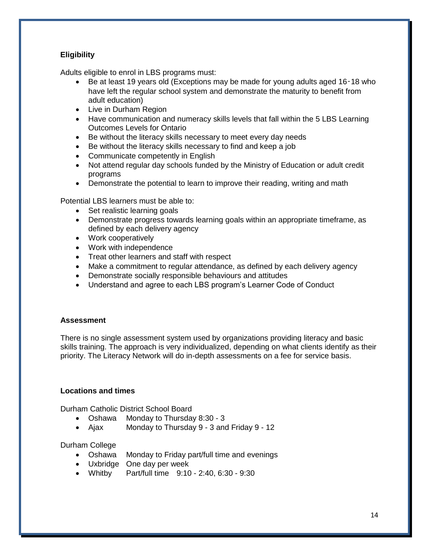#### **Eligibility**

Adults eligible to enrol in LBS programs must:

- Be at least 19 years old (Exceptions may be made for young adults aged 16‑18 who have left the regular school system and demonstrate the maturity to benefit from adult education)
- Live in Durham Region
- Have communication and numeracy skills levels that fall within the 5 LBS Learning Outcomes Levels for Ontario
- Be without the literacy skills necessary to meet every day needs
- Be without the literacy skills necessary to find and keep a job
- Communicate competently in English
- Not attend regular day schools funded by the Ministry of Education or adult credit programs
- Demonstrate the potential to learn to improve their reading, writing and math

Potential LBS learners must be able to:

- Set realistic learning goals
- Demonstrate progress towards learning goals within an appropriate timeframe, as defined by each delivery agency
- Work cooperatively
- Work with independence
- Treat other learners and staff with respect
- Make a commitment to regular attendance, as defined by each delivery agency
- Demonstrate socially responsible behaviours and attitudes
- Understand and agree to each LBS program's Learner Code of Conduct

#### **Assessment**

There is no single assessment system used by organizations providing literacy and basic skills training. The approach is very individualized, depending on what clients identify as their priority. The Literacy Network will do in-depth assessments on a fee for service basis.

#### **Locations and times**

Durham Catholic District School Board

- Oshawa Monday to Thursday 8:30 3
- Ajax Monday to Thursday 9 3 and Friday 9 12

#### Durham College

- Oshawa Monday to Friday part/full time and evenings
- Uxbridge One day per week
- Whitby Part/full time 9:10 2:40, 6:30 9:30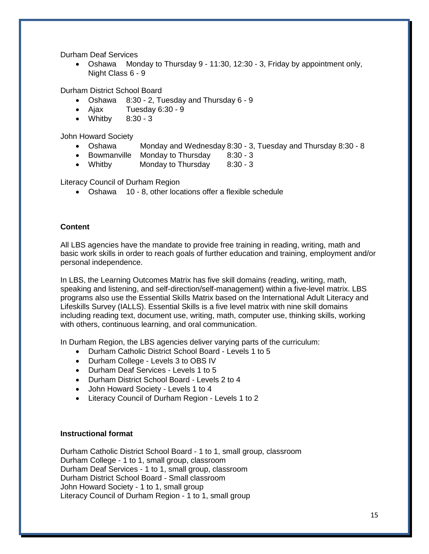Durham Deaf Services

 Oshawa Monday to Thursday 9 - 11:30, 12:30 - 3, Friday by appointment only, Night Class 6 - 9

Durham District School Board

- Oshawa 8:30 2, Tuesday and Thursday 6 9
- Ajax Tuesday 6:30 9
- Whitby 8:30 3

John Howard Society

- Oshawa Monday and Wednesday 8:30 3, Tuesday and Thursday 8:30 8
- Bowmanville Monday to Thursday 8:30 3
- Whitby Monday to Thursday 8:30 3

Literacy Council of Durham Region

Oshawa 10 - 8, other locations offer a flexible schedule

#### **Content**

All LBS agencies have the mandate to provide free training in reading, writing, math and basic work skills in order to reach goals of further education and training, employment and/or personal independence.

In LBS, the Learning Outcomes Matrix has five skill domains (reading, writing, math, speaking and listening, and self-direction/self-management) within a five-level matrix. LBS programs also use the Essential Skills Matrix based on the International Adult Literacy and Lifeskills Survey (IALLS). Essential Skills is a five level matrix with nine skill domains including reading text, document use, writing, math, computer use, thinking skills, working with others, continuous learning, and oral communication.

In Durham Region, the LBS agencies deliver varying parts of the curriculum:

- Durham Catholic District School Board Levels 1 to 5
- Durham College Levels 3 to OBS IV
- Durham Deaf Services Levels 1 to 5
- Durham District School Board Levels 2 to 4
- John Howard Society Levels 1 to 4
- Literacy Council of Durham Region Levels 1 to 2

#### **Instructional format**

Durham Catholic District School Board - 1 to 1, small group, classroom Durham College - 1 to 1, small group, classroom Durham Deaf Services - 1 to 1, small group, classroom Durham District School Board - Small classroom John Howard Society - 1 to 1, small group Literacy Council of Durham Region - 1 to 1, small group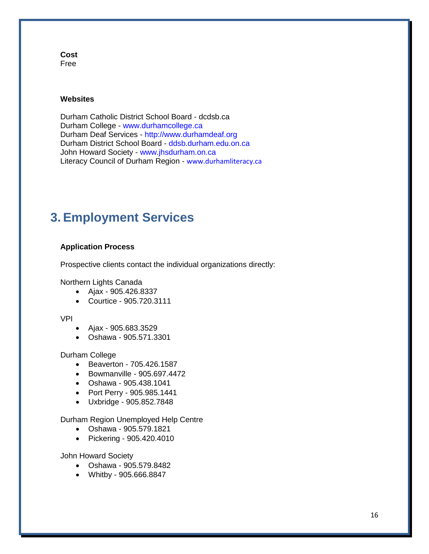#### **Cost**  Free

#### **Websites**

Durham Catholic District School Board - [dcdsb.ca](http://www.dcdsb.ca/)  Durham College - [www.durhamcollege.ca](http://www.durhamcollege.ca) Durham Deaf Services - <http://www.durhamdeaf.org> Durham District School Board - [ddsb.durham.edu.on.ca](http://www.ddsb.durham.edu.on.ca/) John Howard Society - [www.jhsdurham.on.ca](http://www.jhsdurham.on.ca) Literacy Council of Durham Region - [www.durhamliteracy.ca](http://www.durhamliteracy.ca)

### **3. Employment Services**

#### **Application Process**

Prospective clients contact the individual organizations directly:

Northern Lights Canada

- Ajax 905.426.8337
- Courtice 905.720.3111

#### VPI

- $-A$ jax 905.683.3529
- Oshawa 905.571.3301

#### Durham College

- Beaverton 705.426.1587
- Bowmanville 905.697.4472
- Oshawa 905.438.1041
- Port Perry 905.985.1441
- Uxbridge 905.852.7848

#### Durham Region Unemployed Help Centre

- Oshawa 905.579.1821
- Pickering 905.420.4010

#### John Howard Society

- Oshawa 905.579.8482
- Whitby 905.666.8847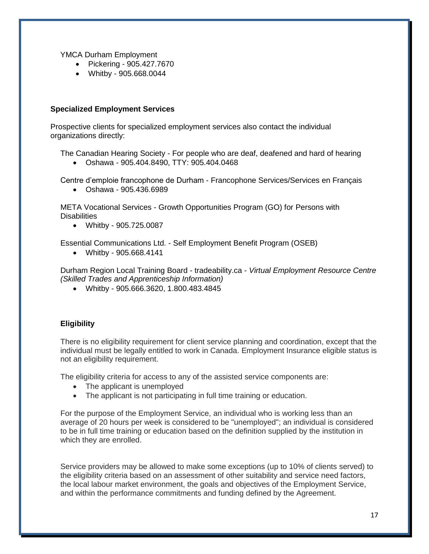YMCA Durham Employment

- Pickering 905.427.7670
- Whitby 905.668.0044

#### **Specialized Employment Services**

Prospective clients for specialized employment services also contact the individual organizations directly:

The Canadian Hearing Society - For people who are deaf, deafened and hard of hearing

Oshawa - 905.404.8490, TTY: 905.404.0468

Centre d'emploie francophone de Durham - Francophone Services/Services en Français

Oshawa - 905.436.6989

META Vocational Services - Growth Opportunities Program (GO) for Persons with **Disabilities** 

Whitby - 905.725.0087

Essential Communications Ltd. - Self Employment Benefit Program (OSEB)

Whitby - 905.668.4141

Durham Region Local Training Board - tradeability.ca - *Virtual Employment Resource Centre (Skilled Trades and Apprenticeship Information)* 

Whitby - 905.666.3620, 1.800.483.4845

#### **Eligibility**

There is no eligibility requirement for client service planning and coordination, except that the individual must be legally entitled to work in Canada. Employment Insurance eligible status is not an eligibility requirement.

The eligibility criteria for access to any of the assisted service components are:

- The applicant is unemployed
- The applicant is not participating in full time training or education.

For the purpose of the Employment Service, an individual who is working less than an average of 20 hours per week is considered to be "unemployed"; an individual is considered to be in full time training or education based on the definition supplied by the institution in which they are enrolled.

Service providers may be allowed to make some exceptions (up to 10% of clients served) to the eligibility criteria based on an assessment of other suitability and service need factors, the local labour market environment, the goals and objectives of the Employment Service, and within the performance commitments and funding defined by the Agreement.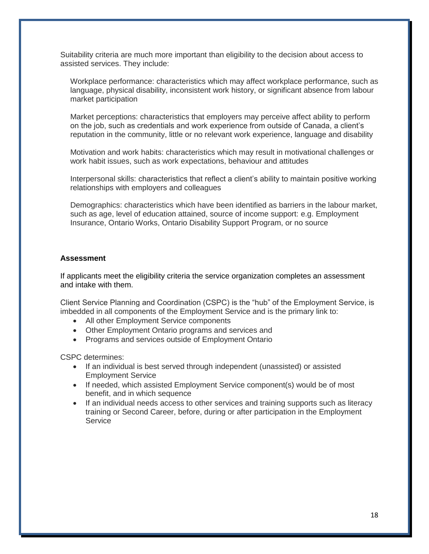Suitability criteria are much more important than eligibility to the decision about access to assisted services. They include:

Workplace performance: characteristics which may affect workplace performance, such as language, physical disability, inconsistent work history, or significant absence from labour market participation

Market perceptions: characteristics that employers may perceive affect ability to perform on the job, such as credentials and work experience from outside of Canada, a client's reputation in the community, little or no relevant work experience, language and disability

Motivation and work habits: characteristics which may result in motivational challenges or work habit issues, such as work expectations, behaviour and attitudes

Interpersonal skills: characteristics that reflect a client's ability to maintain positive working relationships with employers and colleagues

Demographics: characteristics which have been identified as barriers in the labour market, such as age, level of education attained, source of income support: e.g. Employment Insurance, Ontario Works, Ontario Disability Support Program, or no source

#### **Assessment**

If applicants meet the eligibility criteria the service organization completes an assessment and intake with them.

Client Service Planning and Coordination (CSPC) is the "hub" of the Employment Service, is imbedded in all components of the Employment Service and is the primary link to:

- All other Employment Service components
- Other Employment Ontario programs and services and
- Programs and services outside of Employment Ontario

CSPC determines:

- If an individual is best served through independent (unassisted) or assisted Employment Service
- If needed, which assisted Employment Service component(s) would be of most benefit, and in which sequence
- If an individual needs access to other services and training supports such as literacy training or Second Career, before, during or after participation in the Employment **Service**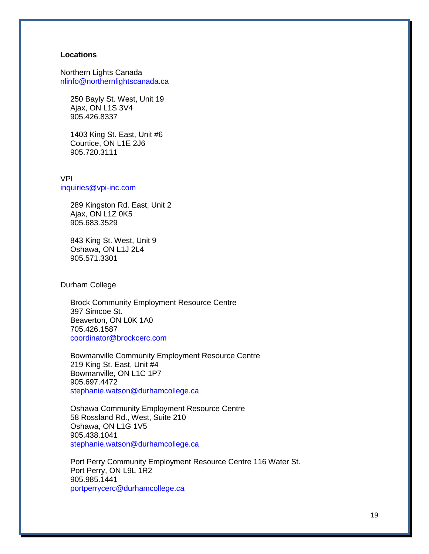#### **Locations**

Northern Lights Canada [nlinfo@northernlightscanada.ca](mailto:nlinfo@northernlightscanada.ca)

250 Bayly St. West, Unit 19 Ajax, ON L1S 3V4 905.426.8337

1403 King St. East, Unit #6 Courtice, ON L1E 2J6 905.720.3111

VPI [inquiries@vpi-inc.com](mailto:inquiries@vpi-inc.com)

> 289 Kingston Rd. East, Unit 2 Ajax, ON L1Z 0K5 905.683.3529

843 King St. West, Unit 9 Oshawa, ON L1J 2L4 905.571.3301

Durham College

Brock Community Employment Resource Centre 397 Simcoe St. Beaverton, ON L0K 1A0 705.426.1587 [coordinator@brockcerc.com](mailto:coordinator@brockcerc.com)

Bowmanville Community Employment Resource Centre 219 King St. East, Unit #4 Bowmanville, ON L1C 1P7 905.697.4472 [stephanie.watson@durhamcollege.ca](mailto:stephanie.watson@durhamcollege.ca)

Oshawa Community Employment Resource Centre 58 Rossland Rd., West, Suite 210 Oshawa, ON L1G 1V5 905.438.1041 [stephanie.watson@durhamcollege.ca](mailto:stephanie.watson@durhamcollege.ca) 

Port Perry Community Employment Resource Centre 116 Water St. Port Perry, ON L9L 1R2 905.985.1441 [portperrycerc@durhamcollege.ca](mailto:portperrycerc@durhamcollege.ca)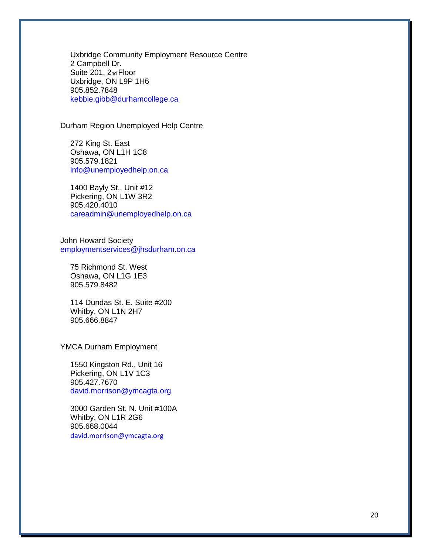Uxbridge Community Employment Resource Centre 2 Campbell Dr. Suite 201, 2nd Floor Uxbridge, ON L9P 1H6 905.852.7848 [kebbie.gibb@durhamcollege.ca](mailto:kebbie.gibb@durhamcollege.ca) 

Durham Region Unemployed Help Centre

272 King St. East Oshawa, ON L1H 1C8 905.579.1821 [info@unemployedhelp.on.ca](mailto:info@unemployedhelp.on.ca) 

1400 Bayly St., Unit #12 Pickering, ON L1W 3R2 905.420.4010 [careadmin@unemployedhelp.on.ca](mailto:careadmin@unemployedhelp.on.ca) 

John Howard Society [employmentservices@jhsdurham.on.ca](mailto:employmentservices@jhsdurham.on.ca) 

75 Richmond St. West Oshawa, ON L1G 1E3 905.579.8482

114 Dundas St. E. Suite #200 Whitby, ON L1N 2H7 905.666.8847

YMCA Durham Employment

1550 Kingston Rd., Unit 16 Pickering, ON L1V 1C3 905.427.7670 [david.morrison@ymcagta.org](mailto:david.morrison@ymcagta.org) 

3000 Garden St. N. Unit #100A Whitby, ON L1R 2G6 905.668.0044 [david.morrison@ymcagta.org](mailto:david.morrison@ymcagta.org)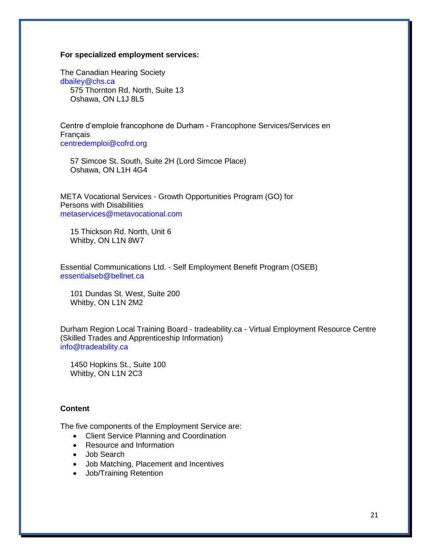#### **For specialized employment services:**

The Canadian Hearing Society [dbailey@chs.ca](mailto:dbailey@chs.ca) 575 Thornton Rd. North, Suite 13 Oshawa, ON L1J 8L5

Centre d'emploie francophone de Durham - Francophone Services/Services en **Francais** [centredemploi@cofrd.org](mailto:centredemploi@cofrd.org) 

57 Simcoe St. South, Suite 2H (Lord Simcoe Place) Oshawa, ON L1H 4G4

META Vocational Services - Growth Opportunities Program (GO) for Persons with Disabilities [metaservices@metavocational.com](mailto:metaservices@metavocational.com) 

15 Thickson Rd. North, Unit 6 Whitby, ON L1N 8W7

Essential Communications Ltd. - Self Employment Benefit Program (OSEB) [essentialseb@bellnet.ca](mailto:essentialseb@bellnet.ca)

101 Dundas St. West, Suite 200 Whitby, ON L1N 2M2

Durham Region Local Training Board - tradeability.ca - Virtual Employment Resource Centre (Skilled Trades and Apprenticeship Information) [info@tradeability.ca](mailto:info@tradeability.ca)

1450 Hopkins St., Suite 100 Whitby, ON L1N 2C3

#### **Content**

The five components of the Employment Service are:

- Client Service Planning and Coordination
- Resource and Information
- Job Search
- Job Matching, Placement and Incentives
- Job/Training Retention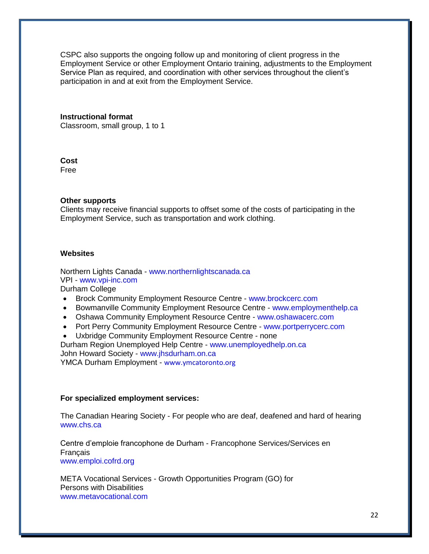CSPC also supports the ongoing follow up and monitoring of client progress in the Employment Service or other Employment Ontario training, adjustments to the Employment Service Plan as required, and coordination with other services throughout the client's participation in and at exit from the Employment Service.

**Instructional format**  Classroom, small group, 1 to 1

**Cost** 

Free

#### **Other supports**

Clients may receive financial supports to offset some of the costs of participating in the Employment Service, such as transportation and work clothing.

#### **Websites**

Northern Lights Canada - [www.northernlightscanada.ca](http://www.northernlightscanada.ca) VPI - [www.vpi-inc.com](http://www.vpi-inc.com) Durham College

- **•** Brock Community Employment Resource Centre - [www.brockcerc.com](http://www.brockcerc.com)
- Bowmanville Community Employment Resource Centre www.employmenthelp.ca
- Oshawa Community Employment Resource Centre - [www.oshawacerc.com](http://www.oshawacerc.com)
- Port Perry Community Employment Resource Centre [www.portperrycerc.com](http://www.portperrycerc.com)

 Uxbridge Community Employment Resource Centre - none Durham Region Unemployed Help Centre - [www.unemployedhelp.on.ca](http://www.unemployedhelp.on.ca) 

John Howard Society - [www.jhsdurham.on.ca](http://www.jhsdurham.on.ca) 

YMCA Durham Employment - [www.ymcatoronto.org](http://www.ymcatoronto.org)

#### **For specialized employment services:**

The Canadian Hearing Society - For people who are deaf, deafened and hard of hearing [www.chs.ca](http://www.chs.ca) 

Centre d'emploie francophone de Durham - Francophone Services/Services en **Francais** [www.emploi.cofrd.org](http://www.emploi.cofrd.org) 

META Vocational Services - Growth Opportunities Program (GO) for Persons with Disabilities [www.metavocational.com](http://www.metavocational.com)